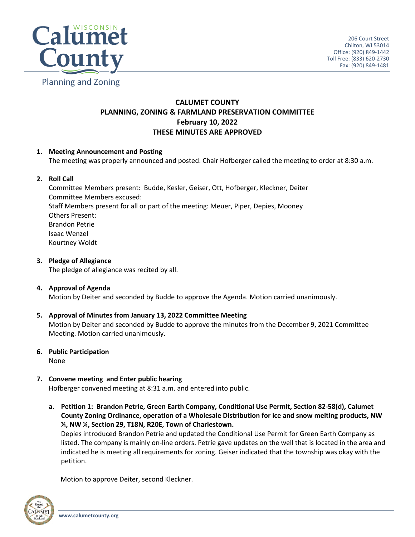

# **CALUMET COUNTY PLANNING, ZONING & FARMLAND PRESERVATION COMMITTEE February 10, 2022 THESE MINUTES ARE APPROVED**

# **1. Meeting Announcement and Posting**

The meeting was properly announced and posted. Chair Hofberger called the meeting to order at 8:30 a.m.

## **2. Roll Call**

Committee Members present: Budde, Kesler, Geiser, Ott, Hofberger, Kleckner, Deiter Committee Members excused: Staff Members present for all or part of the meeting: Meuer, Piper, Depies, Mooney Others Present: Brandon Petrie Isaac Wenzel Kourtney Woldt

**3. Pledge of Allegiance**

The pledge of allegiance was recited by all.

## **4. Approval of Agenda**

Motion by Deiter and seconded by Budde to approve the Agenda. Motion carried unanimously.

## **5. Approval of Minutes from January 13, 2022 Committee Meeting**

Motion by Deiter and seconded by Budde to approve the minutes from the December 9, 2021 Committee Meeting. Motion carried unanimously.

- **6. Public Participation** None
- **7. Convene meeting and Enter public hearing** Hofberger convened meeting at 8:31 a.m. and entered into public.
	- **a. Petition 1: Brandon Petrie, Green Earth Company, Conditional Use Permit, Section 82-58(d), Calumet County Zoning Ordinance, operation of a Wholesale Distribution for ice and snow melting products, NW ¼, NW ¼, Section 29, T18N, R20E, Town of Charlestown.**

Depies introduced Brandon Petrie and updated the Conditional Use Permit for Green Earth Company as listed. The company is mainly on-line orders. Petrie gave updates on the well that is located in the area and indicated he is meeting all requirements for zoning. Geiser indicated that the township was okay with the petition.

Motion to approve Deiter, second Kleckner.

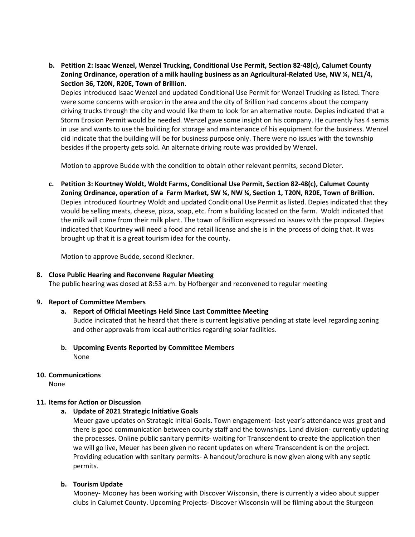**b. Petition 2: Isaac Wenzel, Wenzel Trucking, Conditional Use Permit, Section 82-48(c), Calumet County Zoning Ordinance, operation of a milk hauling business as an Agricultural-Related Use, NW ¼, NE1/4, Section 36, T20N, R20E, Town of Brillion.**

Depies introduced Isaac Wenzel and updated Conditional Use Permit for Wenzel Trucking as listed. There were some concerns with erosion in the area and the city of Brillion had concerns about the company driving trucks through the city and would like them to look for an alternative route. Depies indicated that a Storm Erosion Permit would be needed. Wenzel gave some insight on his company. He currently has 4 semis in use and wants to use the building for storage and maintenance of his equipment for the business. Wenzel did indicate that the building will be for business purpose only. There were no issues with the township besides if the property gets sold. An alternate driving route was provided by Wenzel.

Motion to approve Budde with the condition to obtain other relevant permits, second Dieter.

**c. Petition 3: Kourtney Woldt, Woldt Farms, Conditional Use Permit, Section 82-48(c), Calumet County Zoning Ordinance, operation of a Farm Market, SW ¼, NW ¼, Section 1, T20N, R20E, Town of Brillion.**  Depies introduced Kourtney Woldt and updated Conditional Use Permit as listed. Depies indicated that they would be selling meats, cheese, pizza, soap, etc. from a building located on the farm. Woldt indicated that the milk will come from their milk plant. The town of Brillion expressed no issues with the proposal. Depies indicated that Kourtney will need a food and retail license and she is in the process of doing that. It was brought up that it is a great tourism idea for the county.

Motion to approve Budde, second Kleckner.

## **8. Close Public Hearing and Reconvene Regular Meeting**

The public hearing was closed at 8:53 a.m. by Hofberger and reconvened to regular meeting

#### **9. Report of Committee Members**

#### **a. Report of Official Meetings Held Since Last Committee Meeting**

Budde indicated that he heard that there is current legislative pending at state level regarding zoning and other approvals from local authorities regarding solar facilities.

**b. Upcoming Events Reported by Committee Members** None

#### **10. Communications**

None

## **11. Items for Action or Discussion**

#### **a. Update of 2021 Strategic Initiative Goals**

Meuer gave updates on Strategic Initial Goals. Town engagement- last year's attendance was great and there is good communication between county staff and the townships. Land division- currently updating the processes. Online public sanitary permits- waiting for Transcendent to create the application then we will go live, Meuer has been given no recent updates on where Transcendent is on the project. Providing education with sanitary permits- A handout/brochure is now given along with any septic permits.

## **b. Tourism Update**

Mooney- Mooney has been working with Discover Wisconsin, there is currently a video about supper clubs in Calumet County. Upcoming Projects- Discover Wisconsin will be filming about the Sturgeon